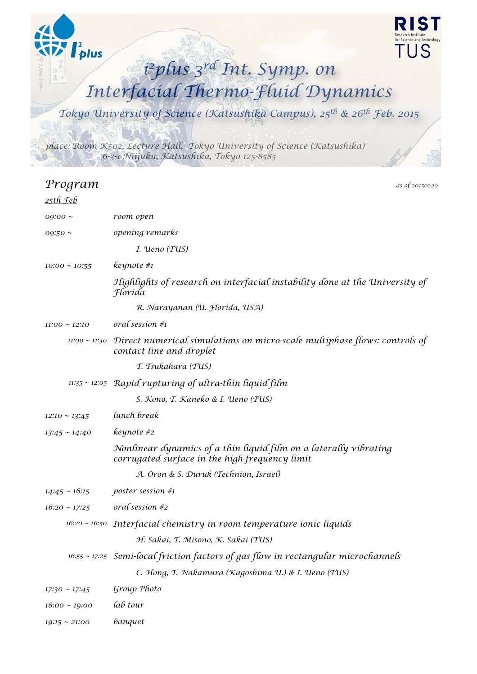

| <u>25th Feb</u>    |                                                                                                                     |
|--------------------|---------------------------------------------------------------------------------------------------------------------|
| $09:00 \sim$       | room open                                                                                                           |
| $09:50 \sim$       | opening remarks                                                                                                     |
|                    | I. Ueno (TUS)                                                                                                       |
| $10:00 \sim 10:55$ | keynote #1                                                                                                          |
|                    | Highlights of research on interfacial instability done at the University of<br>Florida                              |
|                    | R. Narayanan (U. Florída, USA)                                                                                      |
| $11:00 \sim 12:10$ | oral session #1                                                                                                     |
| $11:00 \sim 11:30$ | Direct numerical simulations on micro-scale multiphase flows: controls of<br>contact line and droplet               |
|                    | T. Tsukahara (TUS)                                                                                                  |
|                    | $11:35 \sim 12:05$ Rapid rupturing of ultra-thin liquid film                                                        |
|                    | S. Kono, T. Kaneko & I. Ueno (TUS)                                                                                  |
| $12:10 \sim 13:45$ | lunch break                                                                                                         |
| $13:45 \sim 14:40$ | keynote #2                                                                                                          |
|                    | Nonlinear dynamics of a thin liquid film on a laterally vibrating<br>corrugated surface in the high-frequency limit |
|                    | A. Oron & S. Duruk (Technion, Israel)                                                                               |
| $14:45 \sim 16:15$ | poster session #1                                                                                                   |
| $16:20 \sim 17:25$ | oral session #2                                                                                                     |
|                    | $16:20 \sim 16:50$ Interfacial chemistry in room temperature ionic liquids                                          |
|                    | H. Sakai, T. Misono, K. Sakai (TUS)                                                                                 |
|                    | $16:55 \sim 17:25$ Semi-local friction factors of gas flow in rectangular microchannels                             |
|                    | C. Hong, T. Nakamura (Kagoshima U.) & I. Ueno (TUS)                                                                 |
| $17:30 \sim 17:45$ | Group Photo                                                                                                         |
| $18:00 \sim 19:00$ | lab tour                                                                                                            |

*19:15 ~ 21:00 banquet*